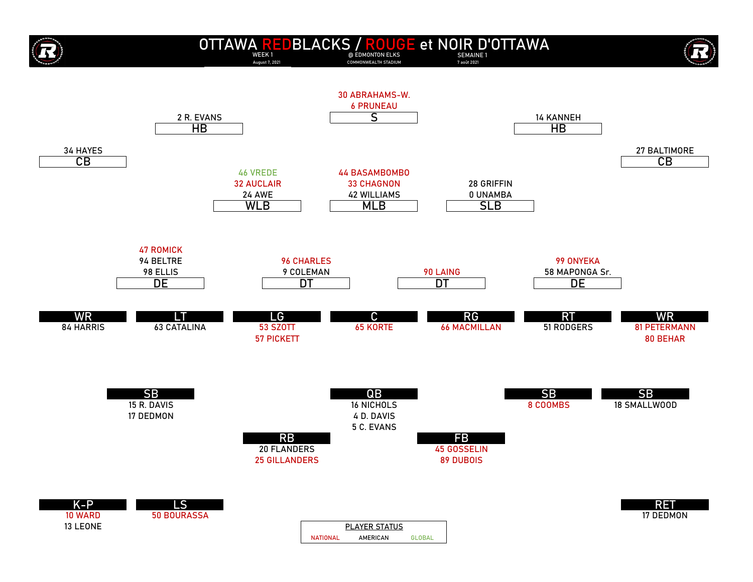